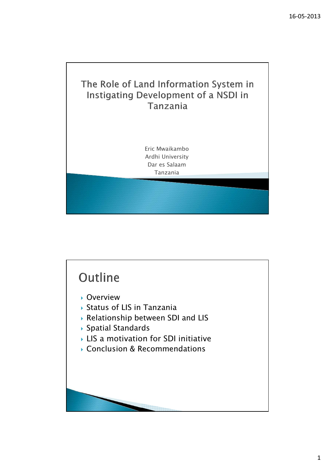

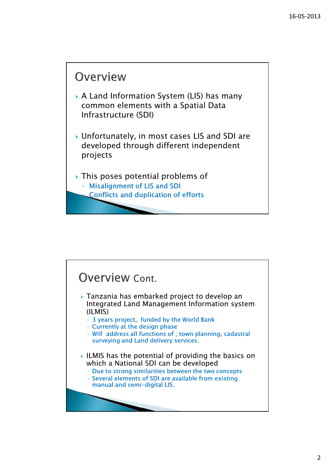

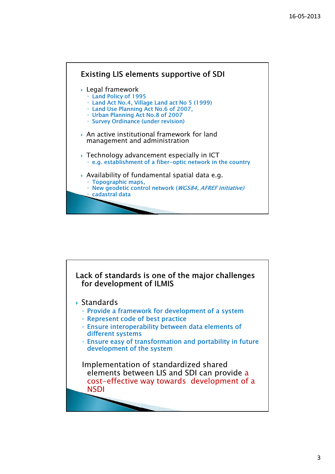



3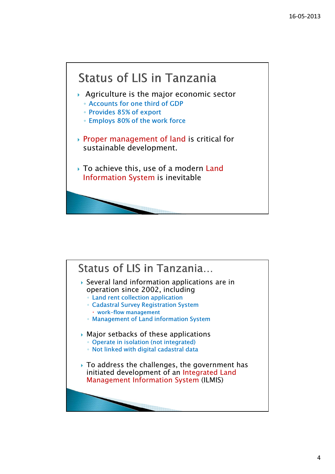

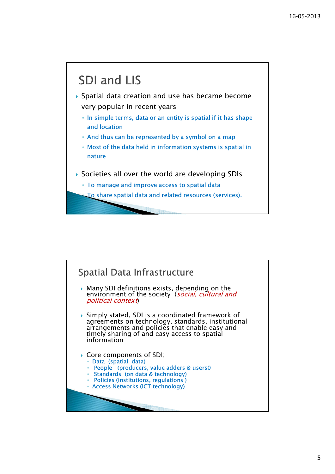## **SDI and LIS**  Spatial data creation and use has became become very popular in recent years ◦ In simple terms, data or an entity is spatial if it has shape and location ◦ And thus can be represented by a symbol on a map ◦ Most of the data held in information systems is spatial in nature Societies all over the world are developing SDIs ◦ To manage and improve access to spatial data ◦ To share spatial data and related resources (services).

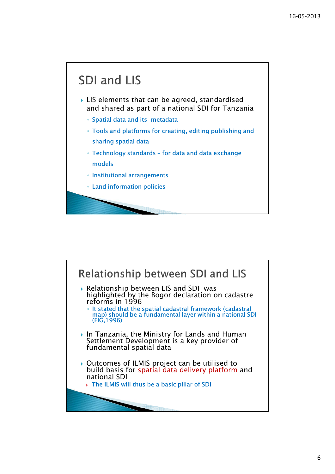

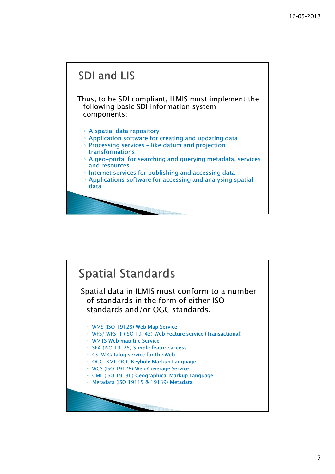

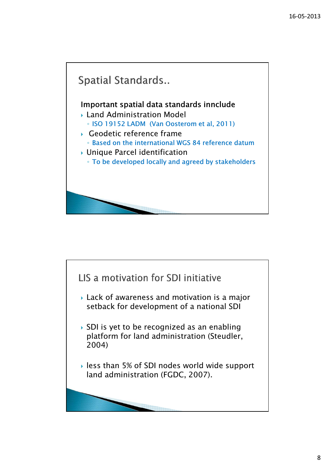

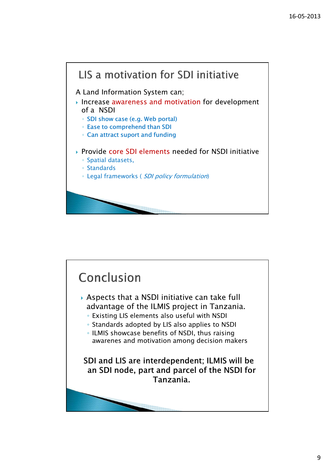